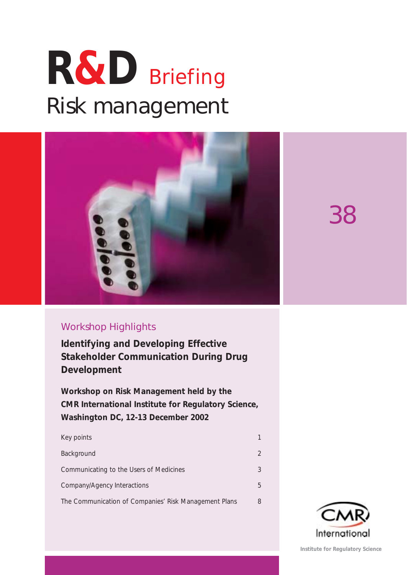# **R&D** Briefing Risk management



38

### Workshop Highlights

**Identifying and Developing Effective Stakeholder Communication During Drug Development**

**Workshop on Risk Management held by the CMR International Institute for Regulatory Science, Washington DC, 12-13 December 2002**

| Key points                                            |               |
|-------------------------------------------------------|---------------|
| Background                                            | $\mathcal{D}$ |
| Communicating to the Users of Medicines               | 3             |
| Company/Agency Interactions                           | 5             |
| The Communication of Companies' Risk Management Plans | 8             |



**Institute for Regulatory Science**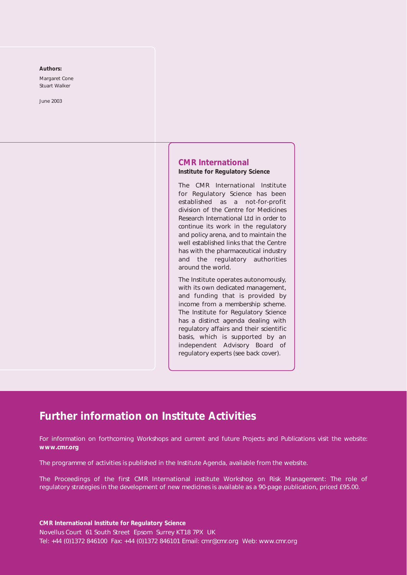#### **Authors:**

Margaret Cone Stuart Walker

*June 2003*

### **CMR International Institute for Regulatory Science**

The CMR International Institute for Regulatory Science has been established as a not-for-profit division of the Centre for Medicines Research International Ltd in order to continue its work in the regulatory and policy arena, and to maintain the well established links that the Centre has with the pharmaceutical industry and the regulatory authorities around the world.

The Institute operates autonomously, with its own dedicated management, and funding that is provided by income from a membership scheme. The Institute for Regulatory Science has a distinct agenda dealing with regulatory affairs and their scientific basis, which is supported by an independent Advisory Board of regulatory experts (see back cover).

### **Further information on Institute Activities**

For information on forthcoming Workshops and current and future Projects and Publications visit the website: **www.cmr.org**

The programme of activities is published in the Institute Agenda, available from the website.

The Proceedings of the first CMR International institute Workshop on *Risk Management: The role of regulatory strategies in the development of new medicines* is available as a 90-page publication, priced £95.00.

**CMR International Institute for Regulatory Science**  Novellus Court 61 South Street Epsom Surrey KT18 7PX UK Tel: +44 (0)1372 846100 Fax: +44 (0)1372 846101 Email: cmr@cmr.org Web: www.cmr.org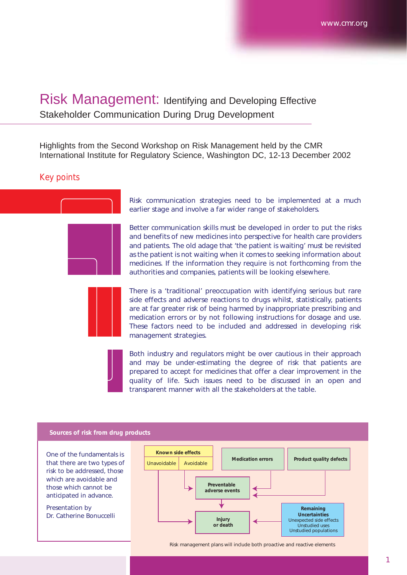## Risk Management: Identifying and Developing Effective Stakeholder Communication During Drug Development

Highlights from the Second Workshop on Risk Management held by the CMR International Institute for Regulatory Science, Washington DC, 12-13 December 2002

### *Key points*



Risk communication strategies need to be implemented at a much earlier stage and involve a far wider range of stakeholders.

Better communication skills must be developed in order to put the risks and benefits of new medicines into perspective for health care providers and patients. The old adage that 'the patient is waiting' must be revisited as the patient is *not* waiting when it comes to seeking information about medicines. If the information they require is not forthcoming from the authorities and companies, patients will be looking elsewhere.

There is a 'traditional' preoccupation with identifying serious but rare side effects and adverse reactions to drugs whilst, statistically, patients are at far greater risk of being harmed by inappropriate prescribing and medication errors or by not following instructions for dosage and use. These factors need to be included and addressed in developing risk management strategies.

Both industry and regulators might be over cautious in their approach and may be under-estimating the degree of risk that patients are prepared to accept for medicines that offer a clear improvement in the quality of life. Such issues need to be discussed in an open and transparent manner with all the stakeholders at the table.

### **Sources of risk from drug products**

One of the fundamentals is that there are two types of risk to be addressed, those which are avoidable and those which cannot be anticipated in advance.

Presentation by Dr. Catherine Bonuccelli



Risk management plans will include both proactive and reactive elements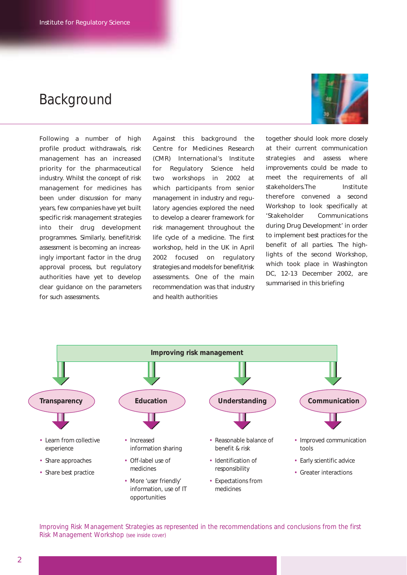# Background

Following a number of high profile product withdrawals, risk management has an increased priority for the pharmaceutical industry. Whilst the concept of risk management for medicines has been under discussion for many years, few companies have yet built specific risk management strategies into their drug development programmes. Similarly, benefit/risk assessment is becoming an increasingly important factor in the drug approval process, but regulatory authorities have yet to develop clear guidance on the parameters for such assessments.

Against this background the Centre for Medicines Research (CMR) International's Institute for Regulatory Science held two workshops in 2002 at which participants from senior management in industry and regulatory agencies explored the need to develop a clearer framework for risk management throughout the life cycle of a medicine. The first workshop, held in the UK in April 2002 focused on regulatory strategies and models for benefit/risk assessments. One of the main recommendation was that industry and health authorities

together should look more closely at their current communication strategies and assess where improvements could be made to meet the requirements of all stakeholders.The Institute therefore convened a second Workshop to look specifically at '*Stakeholder Communications during Drug Development*' in order to implement best practices for the benefit of all parties. The highlights of the second Workshop, which took place in Washington DC, 12-13 December 2002, are

summarised in this briefing



*Improving Risk Management Strategies* as represented in the recommendations and conclusions from the first Risk Management Workshop *(see inside cover)*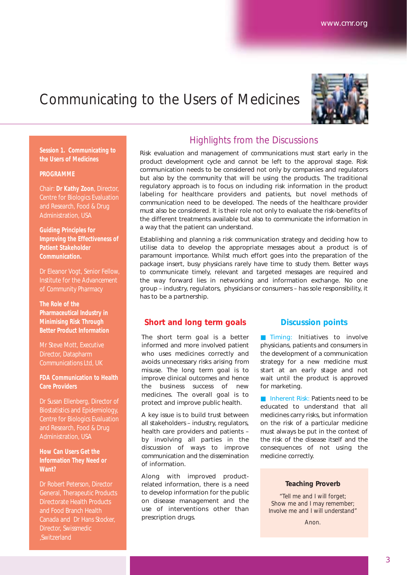# Communicating to the Users of Medicines



**Session 1. Communicating to the Users of Medicines**

### **PROGRAMME**

Chair: **Dr Kathy Zoon**, Director, Centre for Biologics Evaluation and Research, Food & Drug Administration, USA

*Guiding Principles for Improving the Effectiveness of Patient Stakeholder Communication.*

Dr Eleanor Vogt, Senior Fellow, Institute for the Advancement of Community Pharmacy

*The Role of the Pharmaceutical Industry in Minimising Risk Through Better Product Information*

Mr Steve Mott, Executive Director, Datapharm Communications Ltd, UK

*FDA Communication to Health Care Providers*

Dr Susan Ellenberg, Director of Biostatistics and Epidemiology, Centre for Biologics Evaluation and Research, Food & Drug Administration, USA

### *How Can Users Get the Information They Need or Want?*

Dr Robert Peterson, Director General, Therapeutic Products Directorate Health Products and Food Branch Health Canada and Dr Hans Stocker, Director, Swissmedic ,Switzerland

### Highlights from the Discussions

Risk evaluation and management of communications must start early in the product development cycle and cannot be left to the approval stage. Risk communication needs to be considered not only by companies and regulators but also by the community that will be using the products. The traditional regulatory approach is to focus on including risk information in the product labeling for healthcare providers and patients, but novel methods of communication need to be developed. The needs of the healthcare provider must also be considered. It is their role not only to evaluate the risk-benefits of the different treatments available but also to communicate the information in a way that the patient can understand.

Establishing and planning a risk communication strategy and deciding how to utilise data to develop the appropriate messages about a product is of paramount importance. Whilst much effort goes into the preparation of the package insert, busy physicians rarely have time to study them. Better ways to communicate timely, relevant and targeted messages are required and the way forward lies in networking and information exchange. No one group – industry, regulators, physicians or consumers – has sole responsibility, it has to be a partnership.

### **Short and long term goals**

The short term goal is a better informed and more involved patient who uses medicines correctly and avoids unnecessary risks arising from misuse. The long term goal is to improve clinical outcomes and hence the business success of new medicines. The overall goal is to protect and improve public health.

A key issue is to build trust between all stakeholders – industry, regulators, health care providers and patients – by involving all parties in the discussion of ways to improve communication and the dissemination of information.

Along with improved productrelated information, there is a need to develop information for the public on disease management and the use of interventions other than prescription drugs.

### **Discussion points**

■ Timing: Initiatives to involve physicians, patients and consumers in the development of a communication strategy for a new medicine must start at an early stage and not wait until the product is approved for marketing.

■ Inherent Risk: Patients need to be educated to understand that all medicines carry risks, but information on the risk of a particular medicine must always be put in the context of the risk of the disease itself and the consequences of not using the medicine correctly.

### **Teaching Proverb**

*"Tell me and I will forget; Show me and I may remember; Involve me and I will understand"*

*Anon.*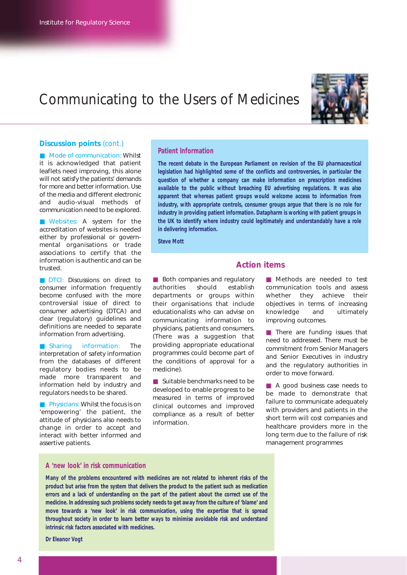# Communicating to the Users of Medicines



### **Discussion points** *(cont.)*

■ Mode of communication: Whilst it is acknowledged that patient leaflets need improving, this alone will not satisfy the patients' demands for more and better information. Use of the media and different electronic and audio-visual methods of communication need to be explored.

■ Websites: A system for the accreditation of websites is needed either by professional or governmental organisations or trade associations to certify that the information is authentic and can be trusted.

■ DTCI: Discussions on direct to consumer information frequently become confused with the more controversial issue of direct to consumer advertising (DTCA) and clear (regulatory) guidelines and definitions are needed to separate information from advertising.

■ Sharing information: The interpretation of safety information from the databases of different regulatory bodies needs to be made more transparent and information held by industry and regulators needs to be shared.

■ Physicians: Whilst the focus is on 'empowering' the patient, the attitude of physicians also needs to change in order to accept and interact with better informed and assertive patients.

### *Patient Information*

*The recent debate in the European Parliament on revision of the EU pharmaceutical legislation had highlighted some of the conflicts and controversies, in particular the question of whether a company can make information on prescription medicines available to the public without breaching EU advertising regulations. It was also apparent that whereas patient groups would welcome access to information from industry, with appropriate controls, consumer groups argue that there is no role for industry in providing patient information. Datapharm is working with patient groups in the UK to identify where industry could legitimately and understandably have a role in delivering information.* 

*Steve Mott*

### **Action items**

■ Both companies and regulatory authorities should establish departments or groups within their organisations that include educationalists who can advise on communicating information to physicians, patients and consumers. (There was a suggestion that providing appropriate educational programmes could become part of the conditions of approval for a medicine).

■ Suitable benchmarks need to be developed to enable progress to be measured in terms of improved clinical outcomes and improved compliance as a result of better information.

■ Methods are needed to test communication tools and assess whether they achieve their objectives in terms of increasing knowledge and ultimately improving outcomes.

■ There are funding issues that need to addressed. There must be commitment from Senior Managers and Senior Executives in industry and the regulatory authorities in order to move forward.

■ A good business case needs to be made to demonstrate that failure to communicate adequately with providers and patients in the short term will cost companies and healthcare providers more in the long term due to the failure of risk management programmes

### *A 'new look' in risk communication*

*Many of the problems encountered with medicines are not related to inherent risks of the product but arise from the system that delivers the product to the patient such as medication errors and a lack of understanding on the part of the patient about the correct use of the medicine. In addressing such problems society needs to get away from the culture of 'blame' and move towards a 'new look' in risk communication, using the expertise that is spread throughout society in order to learn better ways to minimise avoidable risk and understand intrinsic risk factors associated with medicines.*

*Dr Eleanor Vogt*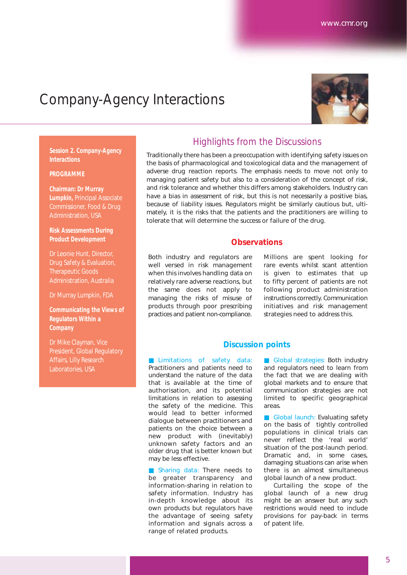# Company-Agency Interactions



**Session 2. Company-Agency Interactions**

#### **PROGRAMME**

**Chairman: Dr Murray Lumpkin,** Principal Associate Commissioner, Food & Drug Administration, USA

*Risk Assessments During Product Development*

Dr Leonie Hunt, Director, Drug Safety & Evaluation, Therapeutic Goods Administration, Australia

Dr Murray Lumpkin, FDA

*Communicating the Views of Regulators Within a Company*

Dr Mike Clayman, Vice President, Global Regulatory Affairs, Lilly Research Laboratories, USA

### Highlights from the Discussions

Traditionally there has been a preoccupation with identifying safety issues on the basis of pharmacological and toxicological data and the management of adverse drug reaction reports. The emphasis needs to move not only to managing patient safety but also to a consideration of the concept of risk, and risk tolerance and whether this differs among stakeholders. Industry can have a bias in assessment of risk, but this is not necessarily a positive bias, because of liability issues. Regulators might be similarly cautious but, ultimately, it is the risks that the patients and the practitioners are willing to tolerate that will determine the success or failure of the drug.

### **Observations**

Both industry and regulators are well versed in risk management when this involves handling data on relatively rare adverse reactions, but the same does not apply to managing the risks of misuse of products through poor prescribing practices and patient non-compliance.

Millions are spent looking for rare events whilst scant attention is given to estimates that up to fifty percent of patients are not following product administration instructions correctly. Communication initiatives and risk management strategies need to address this.

### **Discussion points**

■ Limitations of safety data: Practitioners and patients need to understand the nature of the data that is available at the time of authorisation, and its potential limitations in relation to assessing the safety of the medicine. This would lead to better informed dialogue between practitioners and patients on the choice between a new product with (inevitably) unknown safety factors and an older drug that is better known but may be less effective.

■ Sharing data: There needs to be greater transparency and information-sharing in relation to safety information. Industry has in-depth knowledge about its own products but regulators have the advantage of seeing safety information and signals across a range of related products.

■ Global strategies: Both industry and regulators need to learn from the fact that we are dealing with global markets and to ensure that communication strategies are not limited to specific geographical areas.

■ Global launch: Evaluating safety on the basis of tightly controlled populations in clinical trials can never reflect the 'real world' situation of the post-launch period. Dramatic and, in some cases, damaging situations can arise when there is an almost simultaneous global launch of a new product.

Curtailing the scope of the global launch of a new drug might be an answer but any such restrictions would need to include provisions for pay-back in terms of patent life.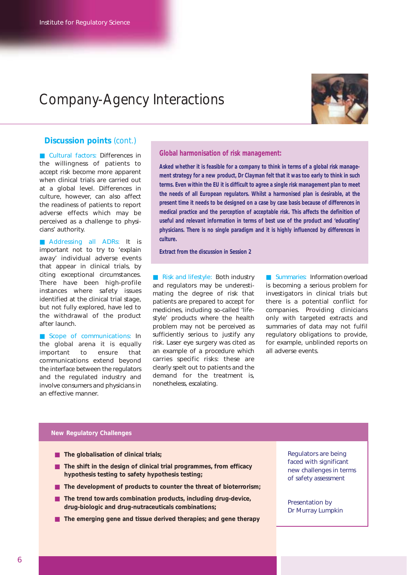# Company-Agency Interactions



### **Discussion points** *(cont.)*

■ Cultural factors: Differences in the willingness of patients to accept risk become more apparent when clinical trials are carried out at a global level. Differences in culture, however, can also affect the readiness of patients to report adverse effects which may be perceived as a challenge to physicians' authority.

■ Addressing all ADRs: It is important not to try to 'explain away' individual adverse events that appear in clinical trials, by citing exceptional circumstances. There have been high-profile instances where safety issues identified at the clinical trial stage, but not fully explored, have led to the withdrawal of the product after launch.

■ Scope of communications: In the global arena it is equally important to ensure that communications extend beyond the interface between the regulators and the regulated industry and involve consumers and physicians in an effective manner.

### *Global harmonisation of risk management:*

*Asked whether it is feasible for a company to think in terms of a global risk management strategy for a new product, Dr Clayman felt that it was too early to think in such terms. Even within the EU it is difficult to agree a single risk management plan to meet the needs of all European regulators. Whilst a harmonised plan is desirable, at the present time it needs to be designed on a case by case basis because of differences in medical practice and the perception of acceptable risk. This affects the definition of useful and relevant information in terms of best use of the product and 'educating' physicians. There is no single paradigm and it is highly influenced by differences in culture.*

*Extract from the discussion in Session 2*

■ Risk and lifestyle: Both industry and regulators may be underestimating the degree of risk that patients are prepared to accept for medicines, including so-called 'lifestyle' products where the health problem may not be perceived as sufficiently serious to justify any risk. Laser eye surgery was cited as an example of a procedure which carries specific risks: these are clearly spelt out to patients and the demand for the treatment is, nonetheless, escalating.

■ Summaries: Information overload is becoming a serious problem for investigators in clinical trials but there is a potential conflict for companies. Providing clinicians only with targeted extracts and summaries of data may not fulfil regulatory obligations to provide, for example, unblinded reports on all adverse events.

### **New Regulatory Challenges**

- **The globalisation of clinical trials**;
- **The shift in the design of clinical trial programmes, from efficacy hypothesis testing to safety hypothesis testing;**
- **The development of products to counter the threat of bioterrorism;**
- **The trend towards combination products, including drug-device, drug-biologic and drug-nutraceuticals combinations;**
- **The emerging gene and tissue derived therapies; and gene therapy**

Regulators are being faced with significant new challenges in terms of safety assessment

Presentation by Dr Murray Lumpkin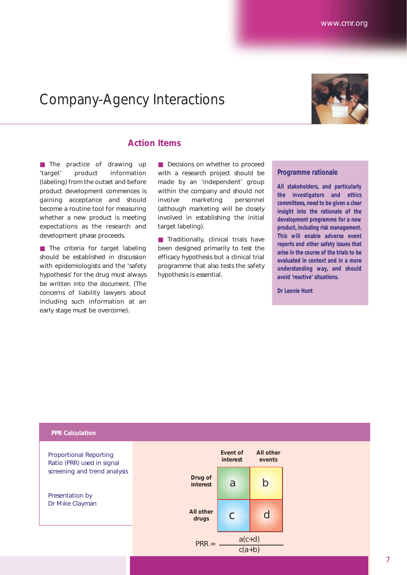# Company-Agency Interactions

### **Action Items**

■ The practice of drawing up 'target' product information (labeling) from the outset and before product development commences is gaining acceptance and should become a routine tool for measuring whether a new product is meeting expectations as the research and development phase proceeds.

■ The criteria for target labeling should be established in discussion with epidemiologists and the 'safety hypothesis' for the drug must always be written into the document. (The concerns of liability lawyers about including such information at an early stage must be overcome).

■ Decisions on whether to proceed with a research project should be made by an 'independent' group within the company and should not involve marketing personnel (although marketing will be closely involved in establishing the initial target labeling).

■ Traditionally, clinical trials have been designed primarily to test the efficacy hypothesis but a clinical trial programme that also tests the safety hypothesis is essential.

### *Programme rationale*

*All stakeholders, and particularly the investigators and ethics committees, need to be given a clear insight into the rationale of the development programme for a new product, including risk management. This will enable adverse event reports and other safety issues that arise in the course of the trials to be evaluated in context and in a more understanding way, and should avoid 'reactive' situations.*

*Dr Leonie Hunt*

#### **PPR Calculation**

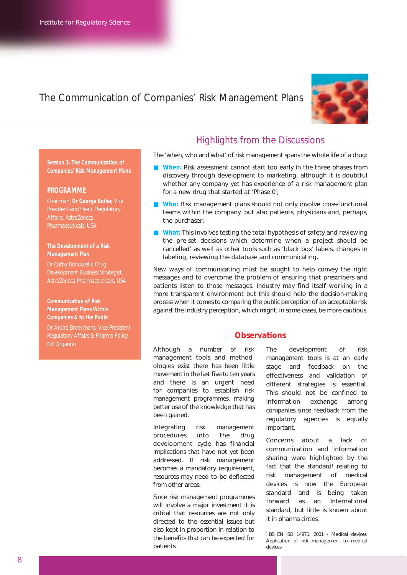### The Communication of Companies' Risk Management Plans



**Session 3. The Communication of Companies' Risk Management Plans**

#### **PROGRAMME**

*Chairman: Dr George Butler, Vice President and Head, Regulatory Affairs, AstraZeneca Pharmaceuticals, USA*

### *The Development of a Risk Management Plan*

*Dr Cathy Bonuccelli, Drug Development Business Strategist, AstraZeneca Pharmaceuticals, USA*

*Communication of Risk Management Plans Within Companies & to the Public*

*Dr André Broekmans, Vice President Regulatory Affairs & Pharma Policy, NV Organon*

### Highlights from the Discussions

The 'when, who and what' of risk management spans the whole life of a drug:

- When: Risk assessment cannot start too early in the three phases from discovery through development to marketing, although it is doubtful whether any company yet has experience of a risk management plan for a new drug that started at 'Phase 0';
- **Who:** Risk management plans should not only involve cross-functional teams within the company, but also patients, physicians and, perhaps, the purchaser;
- What: This involves testing the total hypothesis of safety and reviewing the pre-set decisions which determine when a project should be cancelled' as well as other tools such as 'black box' labels, changes in labeling, reviewing the database and communicating.

New ways of communicating must be sought to help convey the right messages and to overcome the problem of ensuring that prescribers and patients listen to those messages. Industry may find itself working in a more transparent environment but this should help the decision-making process when it comes to comparing the public perception of an acceptable risk against the industry perception, which might, in some cases, be more cautious.

### **Observations**

Although a number of risk management tools and methodologies exist there has been little movement in the last five to ten years and there is an urgent need for companies to establish risk management programmes, making better use of the knowledge that has been gained.

Integrating risk management procedures into the drug development cycle has financial implications that have not yet been addressed. If risk management becomes a mandatory requirement, resources may need to be deflected from other areas.

Since risk management programmes will involve a major investment it is critical that resources are not only directed to the essential issues but also kept in proportion in relation to the benefits that can be expected for patients.

The development of risk management tools is at an early stage and feedback on the effectiveness and validation of different strategies is essential. This should not be confined to information exchange among companies since feedback from the regulatory agencies is equally important.

Concerns about a lack of communication and information sharing were highlighted by the fact that the standard<sup>1</sup> relating to risk management of medical devices is now the European standard and is being taken forward as an International standard, but little is known about it in pharma circles.

<sup>1</sup> BS EN ISO 14971: 2001 - Medical devices. Application of risk management to medical devices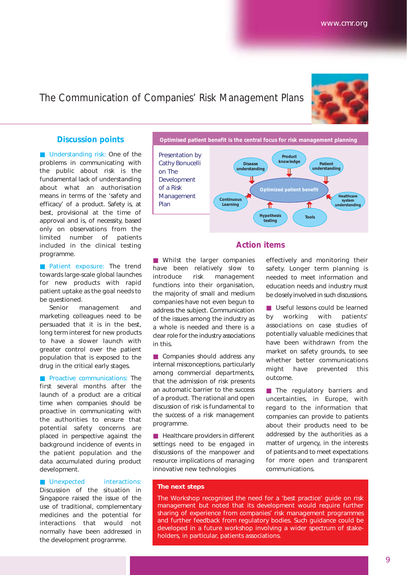### The Communication of Companies' Risk Management Plans



### **Discussion points**

■ Understanding risk: One of the problems in communicating with the public about risk is the fundamental lack of understanding about what an authorisation means in terms of the 'safety and efficacy' of a product. Safety is, at best, provisional at the time of approval and is, of necessity, based only on observations from the limited number of patients included in the clinical testing programme.

■ Patient exposure: The trend towards large-scale global launches for new products with rapid patient uptake as the goal needs to be questioned.

Senior management and marketing colleagues need to be persuaded that it is in the best, long term interest for new products to have a slower launch with greater control over the patient population that is exposed to the drug in the critical early stages.

■ Proactive communications: The first several months after the launch of a product are a critical time when companies should be proactive in communicating with the authorities to ensure that potential safety concerns are placed in perspective against the background incidence of events in the patient population and the data accumulated during product development.

### ■ Unexpected interactions:

Discussion of the situation in Singapore raised the issue of the use of traditional, complementary medicines and the potential for interactions that would not normally have been addressed in the development programme.



### **Action items**

■ Whilst the larger companies have been relatively slow to introduce risk management functions into their organisation, the majority of small and medium companies have not even begun to address the subject. Communication of the issues among the industry as a whole is needed and there is a clear role for the industry associations in this.

■ Companies should address any internal misconceptions, particularly among commercial departments, that the admission of risk presents an automatic barrier to the success of a product. The rational and open discussion of risk is fundamental to the success of a risk management programme.

■ Healthcare providers in different settings need to be engaged in discussions of the manpower and resource implications of managing innovative new technologies

effectively and monitoring their safety. Longer term planning is needed to meet information and education needs and industry must be closely involved in such discussions.

■ Useful lessons could be learned by working with patients' associations on case studies of potentially valuable medicines that have been withdrawn from the market on safety grounds, to see whether better communications might have prevented this outcome.

■ The regulatory barriers and uncertainties, in Europe, with regard to the information that companies can provide to patients about their products need to be addressed by the authorities as a matter of urgency, in the interests of patients and to meet expectations for more open and transparent communications.

### **The next steps**

The Workshop recognised the need for a 'best practice' guide on risk management but noted that its development would require further sharing of experience from companies' risk management programmes and further feedback from regulatory bodies. Such guidance could be developed in a future workshop involving a wider spectrum of stakeholders, in particular, patients associations.